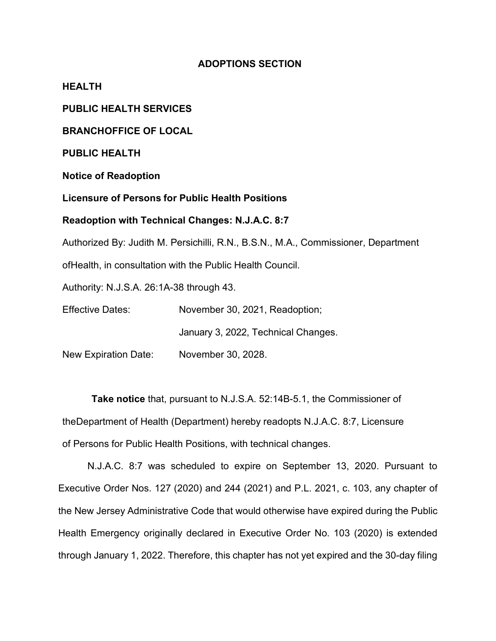# **ADOPTIONS SECTION**

**HEALTH**

**PUBLIC HEALTH SERVICES**

**BRANCHOFFICE OF LOCAL**

**PUBLIC HEALTH**

**Notice of Readoption**

**Licensure of Persons for Public Health Positions**

#### **Readoption with Technical Changes: N.J.A.C. 8:7**

Authorized By: Judith M. Persichilli, R.N., B.S.N., M.A., Commissioner, Department

ofHealth, in consultation with the Public Health Council.

Authority: N.J.S.A. 26:1A-38 through 43.

Effective Dates: November 30, 2021, Readoption;

January 3, 2022, Technical Changes.

New Expiration Date: November 30, 2028.

**Take notice** that, pursuant to N.J.S.A. 52:14B-5.1, the Commissioner of theDepartment of Health (Department) hereby readopts N.J.A.C. 8:7, Licensure of Persons for Public Health Positions, with technical changes.

N.J.A.C. 8:7 was scheduled to expire on September 13, 2020. Pursuant to Executive Order Nos. 127 (2020) and 244 (2021) and P.L. 2021, c. 103, any chapter of the New Jersey Administrative Code that would otherwise have expired during the Public Health Emergency originally declared in Executive Order No. 103 (2020) is extended through January 1, 2022. Therefore, this chapter has not yet expired and the 30-day filing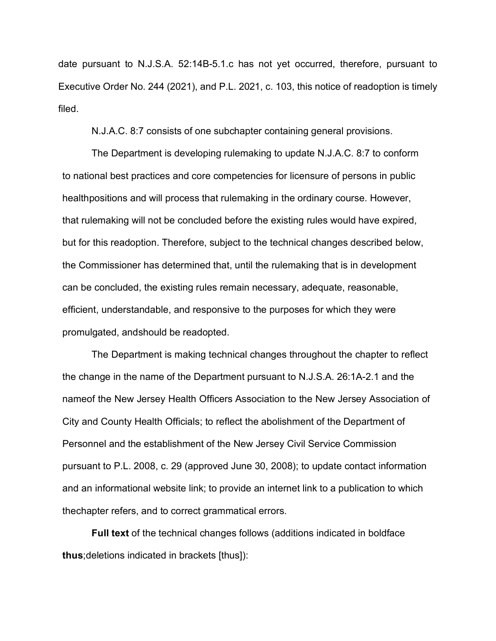date pursuant to N.J.S.A. 52:14B-5.1.c has not yet occurred, therefore, pursuant to Executive Order No. 244 (2021), and P.L. 2021, c. 103, this notice of readoption is timely filed.

N.J.A.C. 8:7 consists of one subchapter containing general provisions.

The Department is developing rulemaking to update N.J.A.C. 8:7 to conform to national best practices and core competencies for licensure of persons in public healthpositions and will process that rulemaking in the ordinary course. However, that rulemaking will not be concluded before the existing rules would have expired, but for this readoption. Therefore, subject to the technical changes described below, the Commissioner has determined that, until the rulemaking that is in development can be concluded, the existing rules remain necessary, adequate, reasonable, efficient, understandable, and responsive to the purposes for which they were promulgated, andshould be readopted.

The Department is making technical changes throughout the chapter to reflect the change in the name of the Department pursuant to N.J.S.A. 26:1A-2.1 and the nameof the New Jersey Health Officers Association to the New Jersey Association of City and County Health Officials; to reflect the abolishment of the Department of Personnel and the establishment of the New Jersey Civil Service Commission pursuant to P.L. 2008, c. 29 (approved June 30, 2008); to update contact information and an informational website link; to provide an internet link to a publication to which thechapter refers, and to correct grammatical errors.

**Full text** of the technical changes follows (additions indicated in boldface **thus**;deletions indicated in brackets [thus]):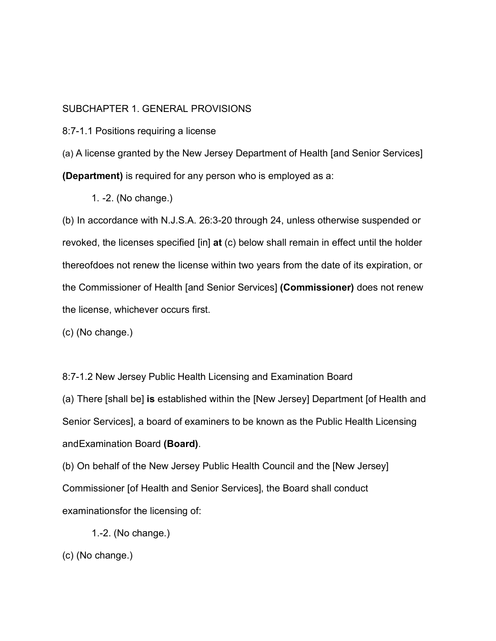# SUBCHAPTER 1. GENERAL PROVISIONS

8:7-1.1 Positions requiring a license

(a) A license granted by the New Jersey Department of Health [and Senior Services] **(Department)** is required for any person who is employed as a:

1. -2. (No change.)

(b) In accordance with N.J.S.A. 26:3-20 through 24, unless otherwise suspended or revoked, the licenses specified [in] **at** (c) below shall remain in effect until the holder thereofdoes not renew the license within two years from the date of its expiration, or the Commissioner of Health [and Senior Services] **(Commissioner)** does not renew the license, whichever occurs first.

(c) (No change.)

8:7-1.2 New Jersey Public Health Licensing and Examination Board

(a) There [shall be] **is** established within the [New Jersey] Department [of Health and Senior Services], a board of examiners to be known as the Public Health Licensing andExamination Board **(Board)**.

(b) On behalf of the New Jersey Public Health Council and the [New Jersey] Commissioner [of Health and Senior Services], the Board shall conduct examinationsfor the licensing of:

1.-2. (No change.)

(c) (No change.)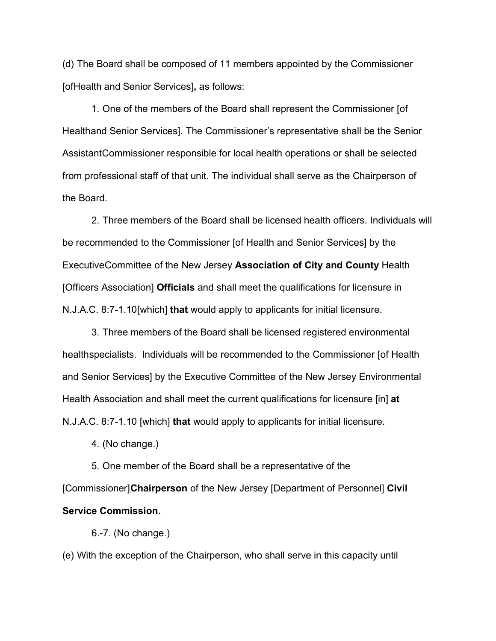(d) The Board shall be composed of 11 members appointed by the Commissioner [ofHealth and Senior Services]**,** as follows:

1. One of the members of the Board shall represent the Commissioner [of Healthand Senior Services]. The Commissioner's representative shall be the Senior AssistantCommissioner responsible for local health operations or shall be selected from professional staff of that unit. The individual shall serve as the Chairperson of the Board.

2. Three members of the Board shall be licensed health officers. Individuals will be recommended to the Commissioner [of Health and Senior Services] by the ExecutiveCommittee of the New Jersey **Association of City and County** Health [Officers Association] **Officials** and shall meet the qualifications for licensure in N.J.A.C. 8:7-1.10[which] **that** would apply to applicants for initial licensure.

3. Three members of the Board shall be licensed registered environmental healthspecialists. Individuals will be recommended to the Commissioner [of Health and Senior Services] by the Executive Committee of the New Jersey Environmental Health Association and shall meet the current qualifications for licensure [in] **at** N.J.A.C. 8:7-1.10 [which] **that** would apply to applicants for initial licensure.

4. (No change.)

5. One member of the Board shall be a representative of the [Commissioner] **Chairperson** of the New Jersey [Department of Personnel] **Civil Service Commission**.

6.-7. (No change.)

(e) With the exception of the Chairperson, who shall serve in this capacity until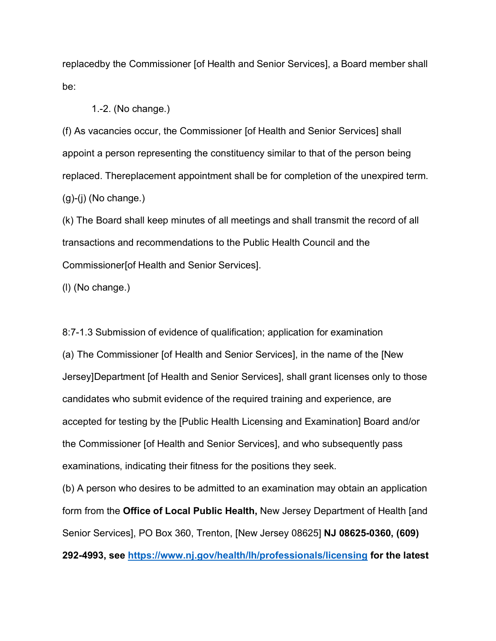replacedby the Commissioner [of Health and Senior Services], a Board member shall be:

### 1.-2. (No change.)

(f) As vacancies occur, the Commissioner [of Health and Senior Services] shall appoint a person representing the constituency similar to that of the person being replaced. Thereplacement appointment shall be for completion of the unexpired term.  $(g)-(i)$  (No change.)

(k) The Board shall keep minutes of all meetings and shall transmit the record of all transactions and recommendations to the Public Health Council and the Commissioner[of Health and Senior Services].

(l) (No change.)

8:7-1.3 Submission of evidence of qualification; application for examination (a) The Commissioner [of Health and Senior Services], in the name of the [New Jersey]Department [of Health and Senior Services], shall grant licenses only to those candidates who submit evidence of the required training and experience, are accepted for testing by the [Public Health Licensing and Examination] Board and/or the Commissioner [of Health and Senior Services], and who subsequently pass examinations, indicating their fitness for the positions they seek.

(b) A person who desires to be admitted to an examination may obtain an application form from the **Office of Local Public Health,** New Jersey Department of Health [and Senior Services], PO Box 360, Trenton, [New Jersey 08625] **NJ 08625-0360, (609) 292-4993, see <https://www.nj.gov/health/lh/professionals/licensing> for the latest**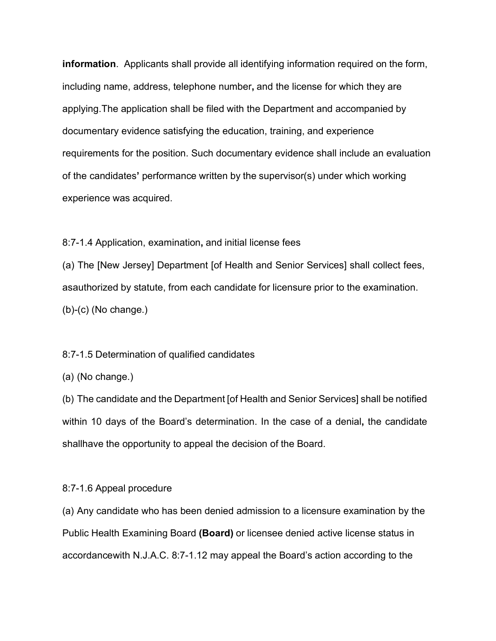**information**. Applicants shall provide all identifying information required on the form, including name, address, telephone number**,** and the license for which they are applying.The application shall be filed with the Department and accompanied by documentary evidence satisfying the education, training, and experience requirements for the position. Such documentary evidence shall include an evaluation of the candidates**'** performance written by the supervisor(s) under which working experience was acquired.

8:7-1.4 Application, examination**,** and initial license fees

(a) The [New Jersey] Department [of Health and Senior Services] shall collect fees, asauthorized by statute, from each candidate for licensure prior to the examination. (b)-(c) (No change.)

#### 8:7-1.5 Determination of qualified candidates

(a) (No change.)

(b) The candidate and the Department [of Health and Senior Services] shall be notified within 10 days of the Board's determination. In the case of a denial**,** the candidate shallhave the opportunity to appeal the decision of the Board.

### 8:7-1.6 Appeal procedure

(a) Any candidate who has been denied admission to a licensure examination by the Public Health Examining Board **(Board)** or licensee denied active license status in accordancewith N.J.A.C. 8:7-1.12 may appeal the Board's action according to the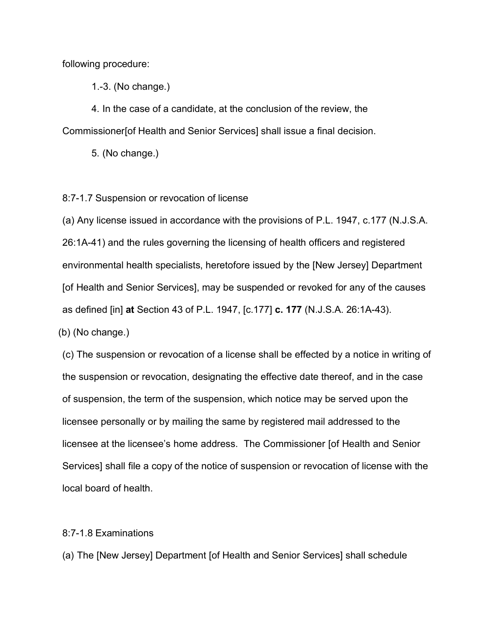following procedure:

1.-3. (No change.)

4. In the case of a candidate, at the conclusion of the review, the Commissioner[of Health and Senior Services] shall issue a final decision.

5. (No change.)

8:7-1.7 Suspension or revocation of license

(a) Any license issued in accordance with the provisions of P.L. 1947, c.177 (N.J.S.A. 26:1A-41) and the rules governing the licensing of health officers and registered environmental health specialists, heretofore issued by the [New Jersey] Department [of Health and Senior Services], may be suspended or revoked for any of the causes as defined [in] **at** Section 43 of P.L. 1947, [c.177] **c. 177** (N.J.S.A. 26:1A-43).

(b) (No change.)

(c) The suspension or revocation of a license shall be effected by a notice in writing of the suspension or revocation, designating the effective date thereof, and in the case of suspension, the term of the suspension, which notice may be served upon the licensee personally or by mailing the same by registered mail addressed to the licensee at the licensee's home address. The Commissioner [of Health and Senior Services] shall file a copy of the notice of suspension or revocation of license with the local board of health.

### 8:7-1.8 Examinations

(a) The [New Jersey] Department [of Health and Senior Services] shall schedule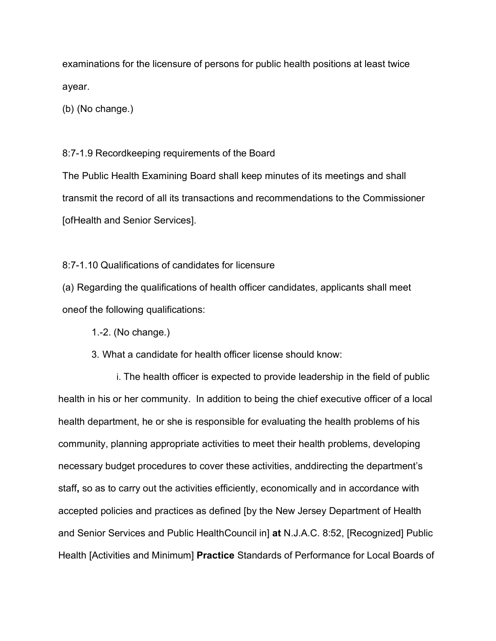examinations for the licensure of persons for public health positions at least twice ayear.

(b) (No change.)

# 8:7-1.9 Recordkeeping requirements of the Board

The Public Health Examining Board shall keep minutes of its meetings and shall transmit the record of all its transactions and recommendations to the Commissioner [ofHealth and Senior Services].

8:7-1.10 Qualifications of candidates for licensure

(a) Regarding the qualifications of health officer candidates, applicants shall meet oneof the following qualifications:

1.-2. (No change.)

3. What a candidate for health officer license should know:

i. The health officer is expected to provide leadership in the field of public health in his or her community. In addition to being the chief executive officer of a local health department, he or she is responsible for evaluating the health problems of his community, planning appropriate activities to meet their health problems, developing necessary budget procedures to cover these activities, anddirecting the department's staff**,** so as to carry out the activities efficiently, economically and in accordance with accepted policies and practices as defined [by the New Jersey Department of Health and Senior Services and Public HealthCouncil in] **at** N.J.A.C. 8:52, [Recognized] Public Health [Activities and Minimum] **Practice** Standards of Performance for Local Boards of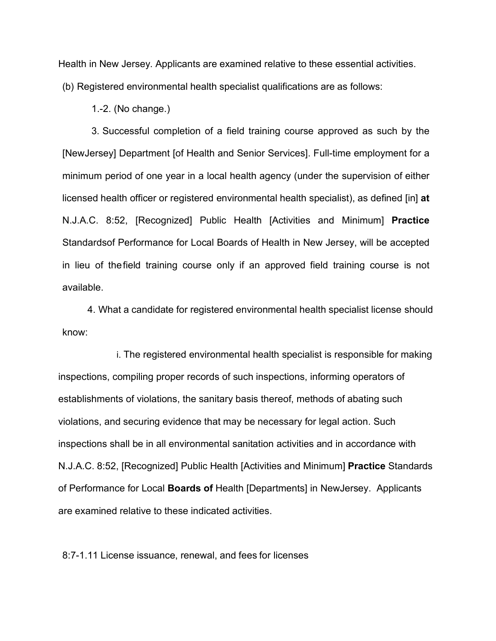Health in New Jersey. Applicants are examined relative to these essential activities.

(b) Registered environmental health specialist qualifications are as follows:

1.-2. (No change.)

3. Successful completion of a field training course approved as such by the [NewJersey] Department [of Health and Senior Services]. Full-time employment for a minimum period of one year in a local health agency (under the supervision of either licensed health officer or registered environmental health specialist), as defined [in] **at**  N.J.A.C. 8:52, [Recognized] Public Health [Activities and Minimum] **Practice**  Standardsof Performance for Local Boards of Health in New Jersey, will be accepted in lieu of thefield training course only if an approved field training course is not available.

4. What a candidate for registered environmental health specialist license should know:

i. The registered environmental health specialist is responsible for making inspections, compiling proper records of such inspections, informing operators of establishments of violations, the sanitary basis thereof, methods of abating such violations, and securing evidence that may be necessary for legal action. Such inspections shall be in all environmental sanitation activities and in accordance with N.J.A.C. 8:52, [Recognized] Public Health [Activities and Minimum] **Practice** Standards of Performance for Local **Boards of** Health [Departments] in NewJersey. Applicants are examined relative to these indicated activities.

8:7-1.11 License issuance, renewal, and fees for licenses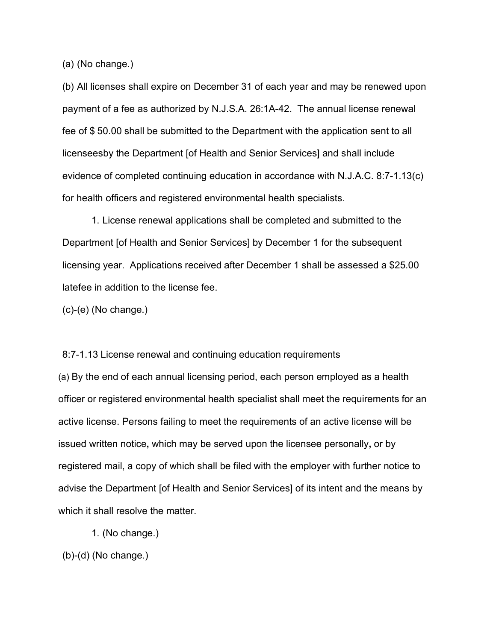(a) (No change.)

(b) All licenses shall expire on December 31 of each year and may be renewed upon payment of a fee as authorized by N.J.S.A. 26:1A-42. The annual license renewal fee of \$ 50.00 shall be submitted to the Department with the application sent to all licenseesby the Department [of Health and Senior Services] and shall include evidence of completed continuing education in accordance with N.J.A.C. 8:7-1.13(c) for health officers and registered environmental health specialists.

1. License renewal applications shall be completed and submitted to the Department [of Health and Senior Services] by December 1 for the subsequent licensing year. Applications received after December 1 shall be assessed a \$25.00 latefee in addition to the license fee.

(c)-(e) (No change.)

(a) By the end of each annual licensing period, each person employed as a health officer or registered environmental health specialist shall meet the requirements for an active license. Persons failing to meet the requirements of an active license will be issued written notice**,** which may be served upon the licensee personally**,** or by registered mail, a copy of which shall be filed with the employer with further notice to advise the Department [of Health and Senior Services] of its intent and the means by which it shall resolve the matter.

8:7-1.13 License renewal and continuing education requirements

1. (No change.)

(b)-(d) (No change.)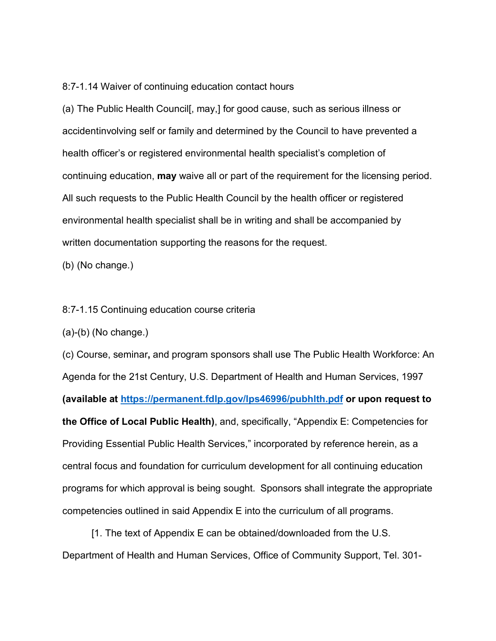8:7-1.14 Waiver of continuing education contact hours

(a) The Public Health Council[, may,] for good cause, such as serious illness or accidentinvolving self or family and determined by the Council to have prevented a health officer's or registered environmental health specialist's completion of continuing education, **may** waive all or part of the requirement for the licensing period. All such requests to the Public Health Council by the health officer or registered environmental health specialist shall be in writing and shall be accompanied by written documentation supporting the reasons for the request.

(b) (No change.)

8:7-1.15 Continuing education course criteria

(a)-(b) (No change.)

(c) Course, seminar**,** and program sponsors shall use The Public Health Workforce: An Agenda for the 21st Century, U.S. Department of Health and Human Services, 1997 **(available at <https://permanent.fdlp.gov/lps46996/pubhlth.pdf> or upon request to the Office of Local Public Health)**, and, specifically, "Appendix E: Competencies for Providing Essential Public Health Services," incorporated by reference herein, as a central focus and foundation for curriculum development for all continuing education programs for which approval is being sought. Sponsors shall integrate the appropriate competencies outlined in said Appendix E into the curriculum of all programs.

[1. The text of Appendix E can be obtained/downloaded from the U.S. Department of Health and Human Services, Office of Community Support, Tel. 301-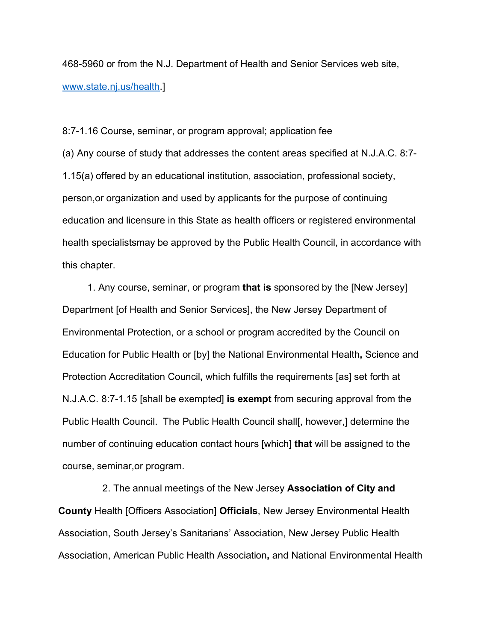468-5960 or from the N.J. Department of Health and Senior Services web site, [www.state.nj.us/health.](http://www.state.nj.us/health)]

8:7-1.16 Course, seminar, or program approval; application fee

(a) Any course of study that addresses the content areas specified at N.J.A.C. 8:7- 1.15(a) offered by an educational institution, association, professional society, person,or organization and used by applicants for the purpose of continuing education and licensure in this State as health officers or registered environmental health specialistsmay be approved by the Public Health Council, in accordance with this chapter.

1. Any course, seminar, or program **that is** sponsored by the [New Jersey] Department [of Health and Senior Services], the New Jersey Department of Environmental Protection, or a school or program accredited by the Council on Education for Public Health or [by] the National Environmental Health**,** Science and Protection Accreditation Council**,** which fulfills the requirements [as] set forth at N.J.A.C. 8:7-1.15 [shall be exempted] **is exempt** from securing approval from the Public Health Council. The Public Health Council shall[, however,] determine the number of continuing education contact hours [which] **that** will be assigned to the course, seminar,or program.

2. The annual meetings of the New Jersey **Association of City and County** Health [Officers Association] **Officials**, New Jersey Environmental Health Association, South Jersey's Sanitarians' Association, New Jersey Public Health Association, American Public Health Association**,** and National Environmental Health